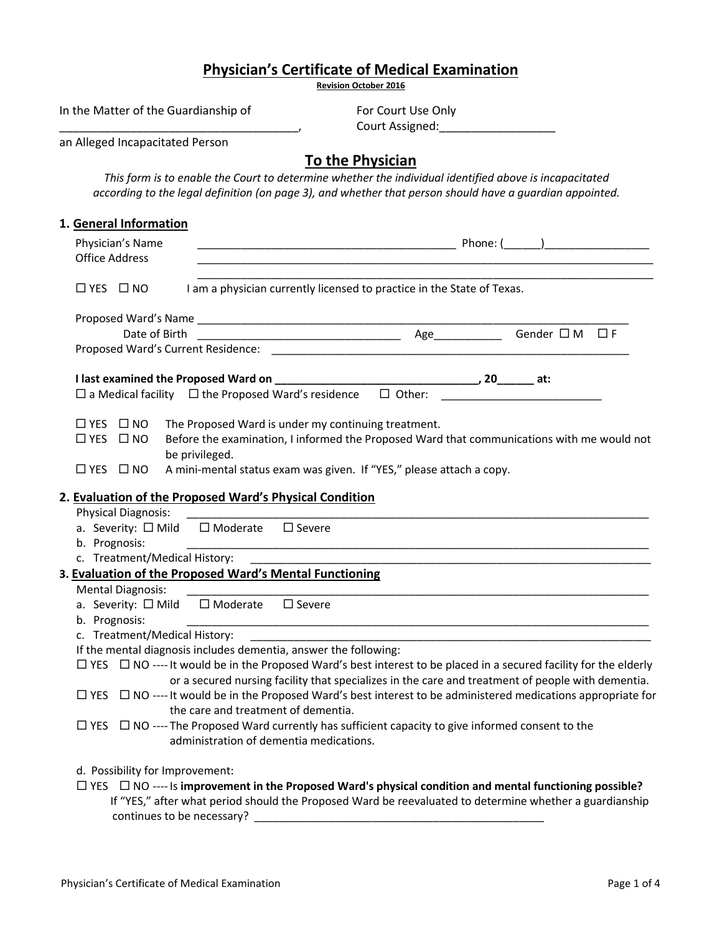| <b>Physician's Certificate of Medical Examination</b><br><b>Revision October 2016</b>                                                         |                                                                                                                                                                                                                                               |
|-----------------------------------------------------------------------------------------------------------------------------------------------|-----------------------------------------------------------------------------------------------------------------------------------------------------------------------------------------------------------------------------------------------|
|                                                                                                                                               |                                                                                                                                                                                                                                               |
|                                                                                                                                               | Court Assigned:_____________________                                                                                                                                                                                                          |
| an Alleged Incapacitated Person                                                                                                               |                                                                                                                                                                                                                                               |
|                                                                                                                                               | <b>To the Physician</b><br>This form is to enable the Court to determine whether the individual identified above is incapacitated<br>according to the legal definition (on page 3), and whether that person should have a guardian appointed. |
| 1. General Information                                                                                                                        |                                                                                                                                                                                                                                               |
| Physician's Name<br><b>Office Address</b>                                                                                                     | the control of the control of the control of the control of the control of the control of the control of the control of the control of the control of the control of the control of the control of the control of the control                 |
| $\Box$ YES $\Box$ NO                                                                                                                          | I am a physician currently licensed to practice in the State of Texas.                                                                                                                                                                        |
|                                                                                                                                               |                                                                                                                                                                                                                                               |
|                                                                                                                                               | Gender $\square$ M $\square$ F                                                                                                                                                                                                                |
|                                                                                                                                               |                                                                                                                                                                                                                                               |
|                                                                                                                                               |                                                                                                                                                                                                                                               |
| $\Box$ a Medical facility $\Box$ the Proposed Ward's residence $\Box$ Other:                                                                  |                                                                                                                                                                                                                                               |
| $\Box$ YES $\Box$ NO<br>The Proposed Ward is under my continuing treatment.<br>$\Box$ YES $\Box$ NO<br>be privileged.<br>$\Box$ YES $\Box$ NO | Before the examination, I informed the Proposed Ward that communications with me would not<br>A mini-mental status exam was given. If "YES," please attach a copy.                                                                            |
| 2. Evaluation of the Proposed Ward's Physical Condition                                                                                       |                                                                                                                                                                                                                                               |
| <b>Physical Diagnosis:</b>                                                                                                                    |                                                                                                                                                                                                                                               |
| a. Severity: □ Mild □ Moderate □ Severe                                                                                                       |                                                                                                                                                                                                                                               |
| b. Prognosis:                                                                                                                                 |                                                                                                                                                                                                                                               |
| c. Treatment/Medical History:<br>3. Evaluation of the Proposed Ward's Mental Functioning                                                      | <u> 1980 - Jan Barat, margaret al II-lea (b. 1980)</u>                                                                                                                                                                                        |
| <b>Mental Diagnosis:</b>                                                                                                                      |                                                                                                                                                                                                                                               |
| □ Moderate<br>a. Severity: □ Mild                                                                                                             | $\square$ Severe                                                                                                                                                                                                                              |
| b. Prognosis:                                                                                                                                 |                                                                                                                                                                                                                                               |
| c. Treatment/Medical History:                                                                                                                 |                                                                                                                                                                                                                                               |
| If the mental diagnosis includes dementia, answer the following:                                                                              |                                                                                                                                                                                                                                               |
|                                                                                                                                               | $\Box$ YES $\Box$ NO ---- It would be in the Proposed Ward's best interest to be placed in a secured facility for the elderly                                                                                                                 |
|                                                                                                                                               | or a secured nursing facility that specializes in the care and treatment of people with dementia.                                                                                                                                             |
| the care and treatment of dementia.                                                                                                           | $\Box$ YES $\Box$ NO ---- It would be in the Proposed Ward's best interest to be administered medications appropriate for                                                                                                                     |
|                                                                                                                                               | $\Box$ YES $\Box$ NO ----The Proposed Ward currently has sufficient capacity to give informed consent to the                                                                                                                                  |
| administration of dementia medications.                                                                                                       |                                                                                                                                                                                                                                               |
| d. Possibility for Improvement:<br>continues to be necessary?                                                                                 | $\Box$ YES $\Box$ NO ---- Is improvement in the Proposed Ward's physical condition and mental functioning possible?<br>If "YES," after what period should the Proposed Ward be reevaluated to determine whether a guardianship                |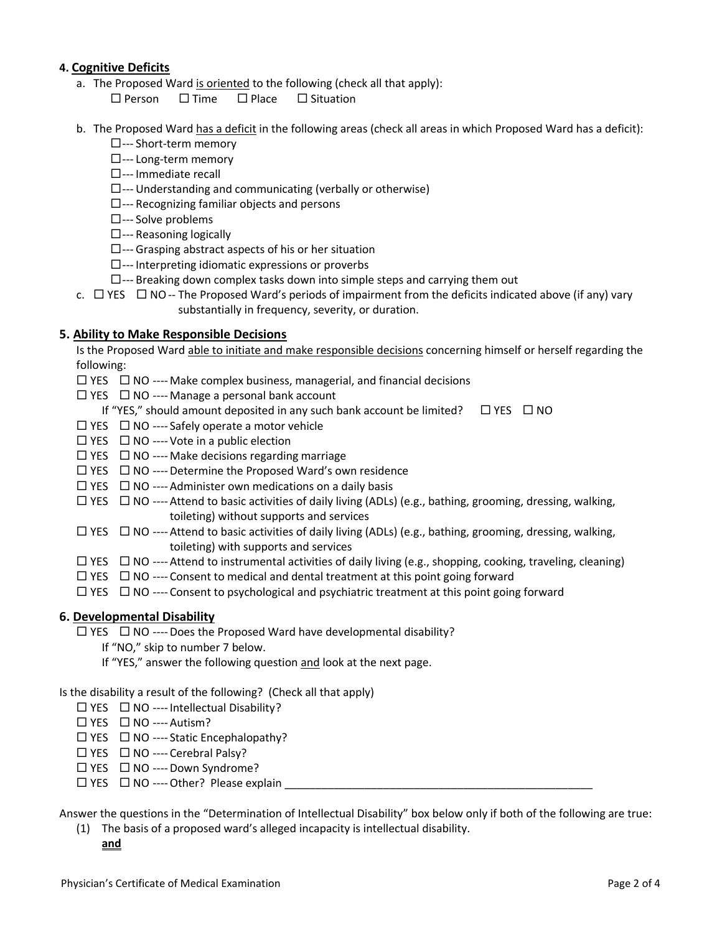# **4. Cognitive Deficits**

- a. The Proposed Ward is oriented to the following (check all that apply):
	- $\square$  Person  $\square$  Time  $\square$  Place  $\square$  Situation
- b. The Proposed Ward has a deficit in the following areas (check all areas in which Proposed Ward has a deficit):
	- --- Short-term memory
	- $\square$ --- Long-term memory
	- $\square$ --- Immediate recall
	- $\square$ --- Understanding and communicating (verbally or otherwise)
	- $\square$ --- Recognizing familiar objects and persons
	- --- Solve problems
	- $\square$ --- Reasoning logically
	- $\square$ --- Grasping abstract aspects of his or her situation
	- $\square$ --- Interpreting idiomatic expressions or proverbs
	- $\square$ --- Breaking down complex tasks down into simple steps and carrying them out
- c.  $\Box$  YES  $\Box$  NO-- The Proposed Ward's periods of impairment from the deficits indicated above (if any) vary substantially in frequency, severity, or duration.

### **5. Ability to Make Responsible Decisions**

Is the Proposed Ward able to initiate and make responsible decisions concerning himself or herself regarding the following:

- $\Box$  YES  $\Box$  NO ---- Make complex business, managerial, and financial decisions
- $\Box$  YES  $\Box$  NO ---- Manage a personal bank account
	- If "YES," should amount deposited in any such bank account be limited?  $\Box$  YES  $\Box$  NO
- $\Box$  YES  $\Box$  NO ---- Safely operate a motor vehicle
- $\Box$  YES  $\Box$  NO ---- Vote in a public election
- $\Box$  YES  $\Box$  NO ---- Make decisions regarding marriage
- $\Box$  YES  $\Box$  NO ---- Determine the Proposed Ward's own residence
- $\Box$  YES  $\Box$  NO ---- Administer own medications on a daily basis
- $\Box$  YES  $\Box$  NO ---- Attend to basic activities of daily living (ADLs) (e.g., bathing, grooming, dressing, walking, toileting) without supports and services
- $\Box$  YES  $\Box$  NO ---- Attend to basic activities of daily living (ADLs) (e.g., bathing, grooming, dressing, walking, toileting) with supports and services
- $\Box$  YES  $\Box$  NO ---- Attend to instrumental activities of daily living (e.g., shopping, cooking, traveling, cleaning)
- $\Box$  YES  $\Box$  NO ---- Consent to medical and dental treatment at this point going forward
- $\Box$  YES  $\Box$  NO ---- Consent to psychological and psychiatric treatment at this point going forward

### **6. Developmental Disability**

 $\Box$  YES  $\Box$  NO ---- Does the Proposed Ward have developmental disability?

- If "NO," skip to number 7 below.
- If "YES," answer the following question and look at the next page.

Is the disability a result of the following? (Check all that apply)

- $\square$  YES  $\square$  NO ---- Intellectual Disability?
- $\Box$  YES  $\Box$  NO ---- Autism?
- $\Box$  YES  $\Box$  NO ---- Static Encephalopathy?
- $\Box$  YES  $\Box$  NO ---- Cerebral Palsy?
- $\Box$  YES  $\Box$  NO ---- Down Syndrome?
- $\Box$  YES  $\Box$  NO ---- Other? Please explain

Answer the questions in the "Determination of Intellectual Disability" box below only if both of the following are true:

- (1) The basis of a proposed ward's alleged incapacity is intellectual disability.
	- **and**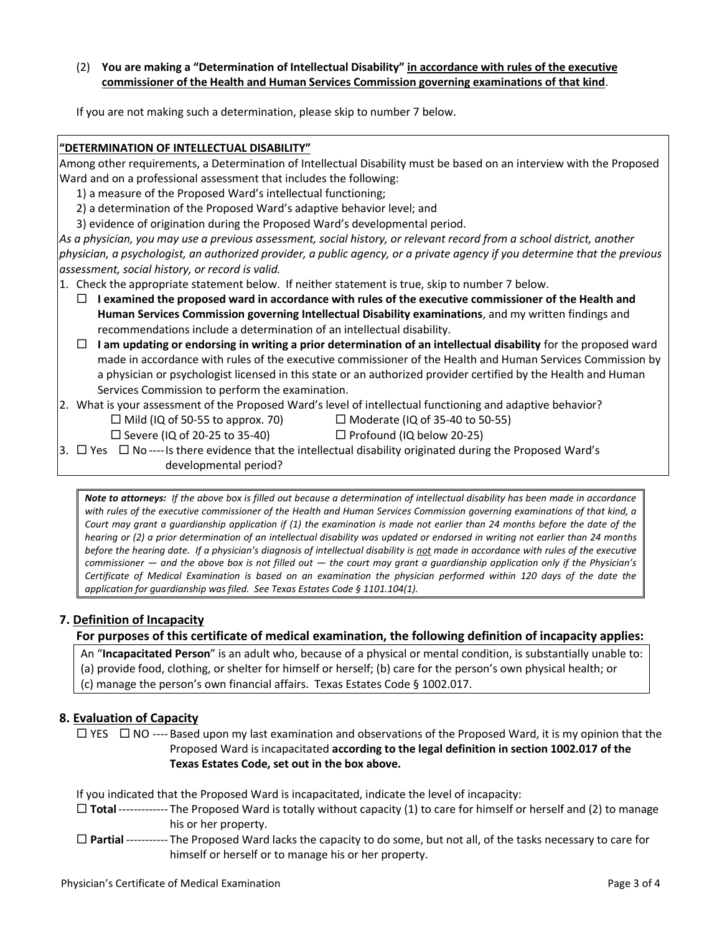### (2) **You are making a "Determination of Intellectual Disability" in accordance with rules of the executive commissioner of the Health and Human Services Commission governing examinations of that kind**.

If you are not making such a determination, please skip to number 7 below.

#### **"DETERMINATION OF INTELLECTUAL DISABILITY"**

Among other requirements, a Determination of Intellectual Disability must be based on an interview with the Proposed Ward and on a professional assessment that includes the following:

1) a measure of the Proposed Ward's intellectual functioning;

2) a determination of the Proposed Ward's adaptive behavior level; and

3) evidence of origination during the Proposed Ward's developmental period.

*As a physician, you may use a previous assessment, social history, or relevant record from a school district, another physician, a psychologist, an authorized provider, a public agency, or a private agency if you determine that the previous assessment, social history, or record is valid.*

1. Check the appropriate statement below. If neither statement is true, skip to number 7 below.

 **I examined the proposed ward in accordance with rules of the executive commissioner of the Health and Human Services Commission governing Intellectual Disability examinations**, and my written findings and recommendations include a determination of an intellectual disability.

 $\Box$  I am updating or endorsing in writing a prior determination of an intellectual disability for the proposed ward made in accordance with rules of the executive commissioner of the Health and Human Services Commission by a physician or psychologist licensed in this state or an authorized provider certified by the Health and Human Services Commission to perform the examination.

2. What is your assessment of the Proposed Ward's level of intellectual functioning and adaptive behavior?

 $\Box$  Mild (IQ of 50-55 to approx. 70)  $\Box$  Moderate (IQ of 35-40 to 50-55)

 $\Box$  Severe (IQ of 20-25 to 35-40)  $\Box$  Profound (IQ below 20-25)

3.  $\Box$  Yes  $\Box$  No ----Is there evidence that the intellectual disability originated during the Proposed Ward's

developmental period?

*Note to attorneys: If the above box is filled out because a determination of intellectual disability has been made in accordance with rules of the executive commissioner of the Health and Human Services Commission governing examinations of that kind, a Court may grant a guardianship application if (1) the examination is made not earlier than 24 months before the date of the hearing or (2) a prior determination of an intellectual disability was updated or endorsed in writing not earlier than 24 months before the hearing date.* If a physician's diagnosis of intellectual disability is not made in accordance with rules of the executive *commissioner — and the above box is not filled out — the court may grant a guardianship application only if the Physician's Certificate of Medical Examination is based on an examination the physician performed within 120 days of the date the application for guardianship was filed. See Texas Estates Code § 1101.104(1).*

# **7. Definition of Incapacity**

# **For purposes of this certificate of medical examination, the following definition of incapacity applies:**

An "**Incapacitated Person**" is an adult who, because of a physical or mental condition, is substantially unable to: (a) provide food, clothing, or shelter for himself or herself; (b) care for the person's own physical health; or (c) manage the person's own financial affairs. Texas Estates Code § 1002.017.

# **8. Evaluation of Capacity**

 $\Box$  YES  $\Box$  NO ---- Based upon my last examination and observations of the Proposed Ward, it is my opinion that the Proposed Ward is incapacitated **according to the legal definition in section 1002.017 of the Texas Estates Code, set out in the box above.**

If you indicated that the Proposed Ward is incapacitated, indicate the level of incapacity:

- **Total**------------- The Proposed Ward is totally without capacity (1) to care for himself or herself and (2) to manage his or her property.
- **Partial** ----------- The Proposed Ward lacks the capacity to do some, but not all, of the tasks necessary to care for himself or herself or to manage his or her property.